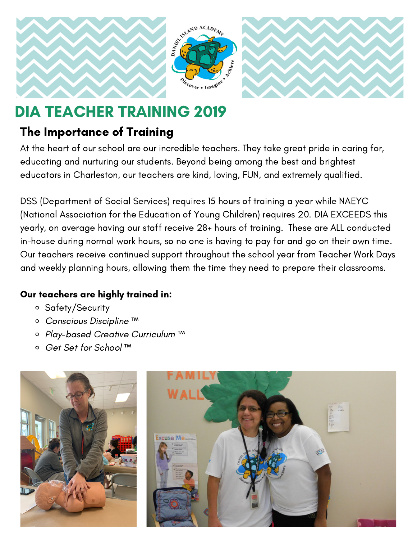

# DIA TEACHER TRAINING 2019

### The Importance of Training

At the heart of our school are our incredible teachers. They take great pride in caring for, educating and nurturing our students. Beyond being among the best and brightest educators in Charleston, our teachers are kind, loving, FUN, and extremely qualified.

DSS (Department of Social Services) requires 15 hours of training a year while NAEYC (National Association for the Education of Young Children) requires 20. DIA EXCEEDS this yearly, on average having our staff receive 28+ hours of training. These are ALL conducted in-house during normal work hours, so no one is having to pay for and go on their own time. Our teachers receive continued support throughout the school year from Teacher Work Days and weekly planning hours, allowing them the time they need to prepare their classrooms.

#### Our teachers are highly trained in:

- o Safety/Security
- Conscious Discipline ™
- Play-based Creative Curriculum ™
- Get Set for School ™

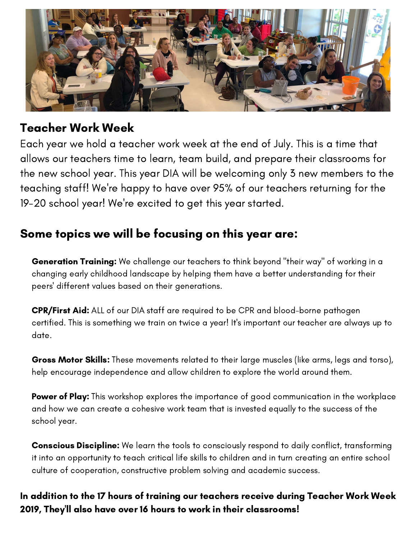

#### Teacher Work Week

Each year we hold a teacher work week at the end of July. This is a time that allows our teachers time to learn, team build, and prepare their classrooms for the new school year. This year DIA will be welcoming only 3 new members to the teaching staff! We're happy to have over 95% of our teachers returning for the 19-20 school year! We're excited to get this year started.

#### Some topics we will be focusing on this year are:

Generation Training: We challenge our teachers to think beyond "their way" of working in a changing early childhood landscape by helping them have a better understanding for their peers' different values based on their generations.

CPR/First Aid: ALL of our DIA staff are required to be CPR and blood-borne pathogen certified. This is something we train on twice a year! It's important our teacher are always up to date.

Gross Motor Skills: These movements related to their large muscles (like arms, legs and torso), help encourage independence and allow children to explore the world around them.

**Power of Play:** This workshop explores the importance of good communication in the workplace and how we can create a cohesive work team that is invested equally to the success of the school year.

**Conscious Discipline:** We learn the tools to consciously respond to daily conflict, transforming it into an opportunity to teach critical life skills to children and in turn creating an entire school culture of cooperation, constructive problem solving and academic success.

In addition to the 17 hours of training our teachers receive during Teacher Work Week 2019, They'll also have over 16 hours to work in their classrooms!